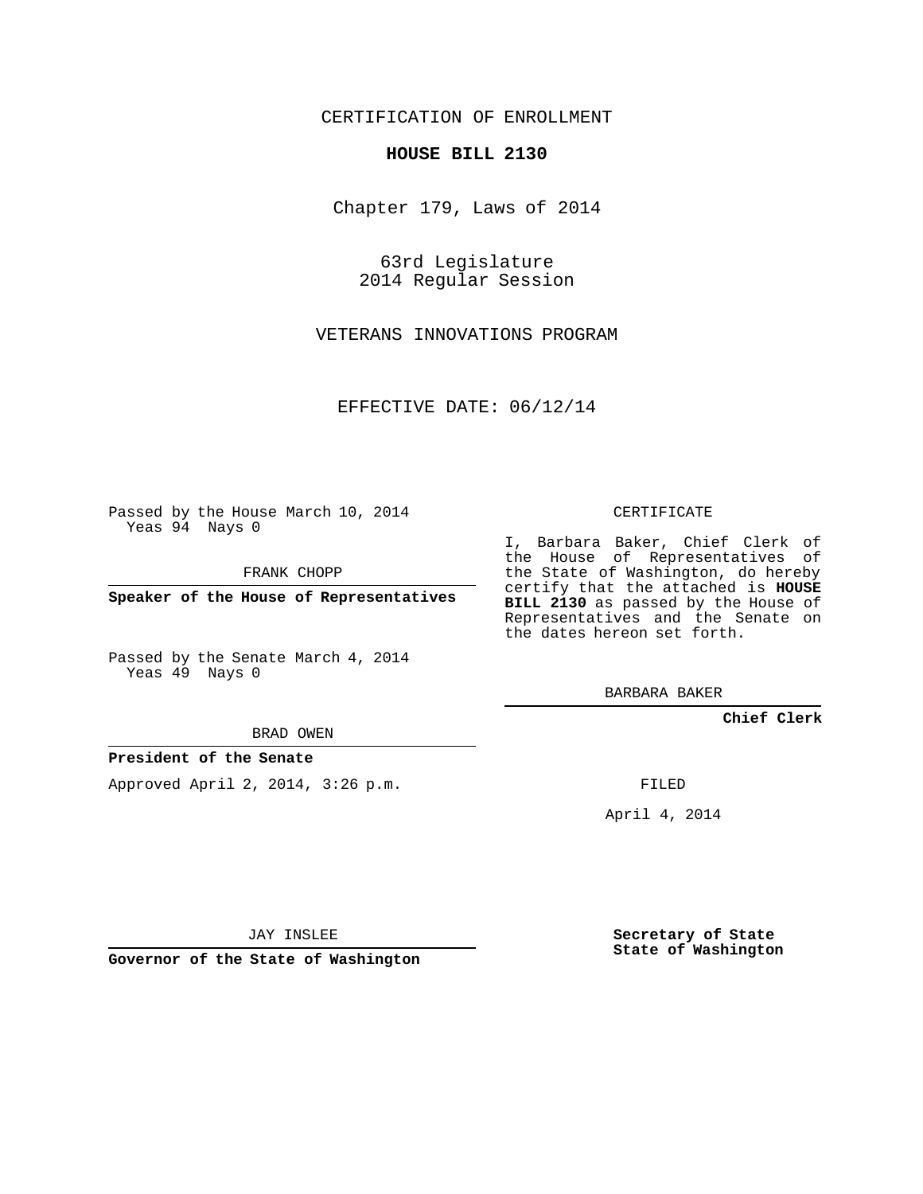## CERTIFICATION OF ENROLLMENT

### **HOUSE BILL 2130**

Chapter 179, Laws of 2014

63rd Legislature 2014 Regular Session

VETERANS INNOVATIONS PROGRAM

EFFECTIVE DATE: 06/12/14

Passed by the House March 10, 2014 Yeas 94 Nays 0

FRANK CHOPP

**Speaker of the House of Representatives**

Passed by the Senate March 4, 2014 Yeas 49 Nays 0

BRAD OWEN

## **President of the Senate**

Approved April 2, 2014, 3:26 p.m.

CERTIFICATE

I, Barbara Baker, Chief Clerk of the House of Representatives of the State of Washington, do hereby certify that the attached is **HOUSE BILL 2130** as passed by the House of Representatives and the Senate on the dates hereon set forth.

BARBARA BAKER

**Chief Clerk**

FILED

April 4, 2014

JAY INSLEE

**Governor of the State of Washington**

**Secretary of State State of Washington**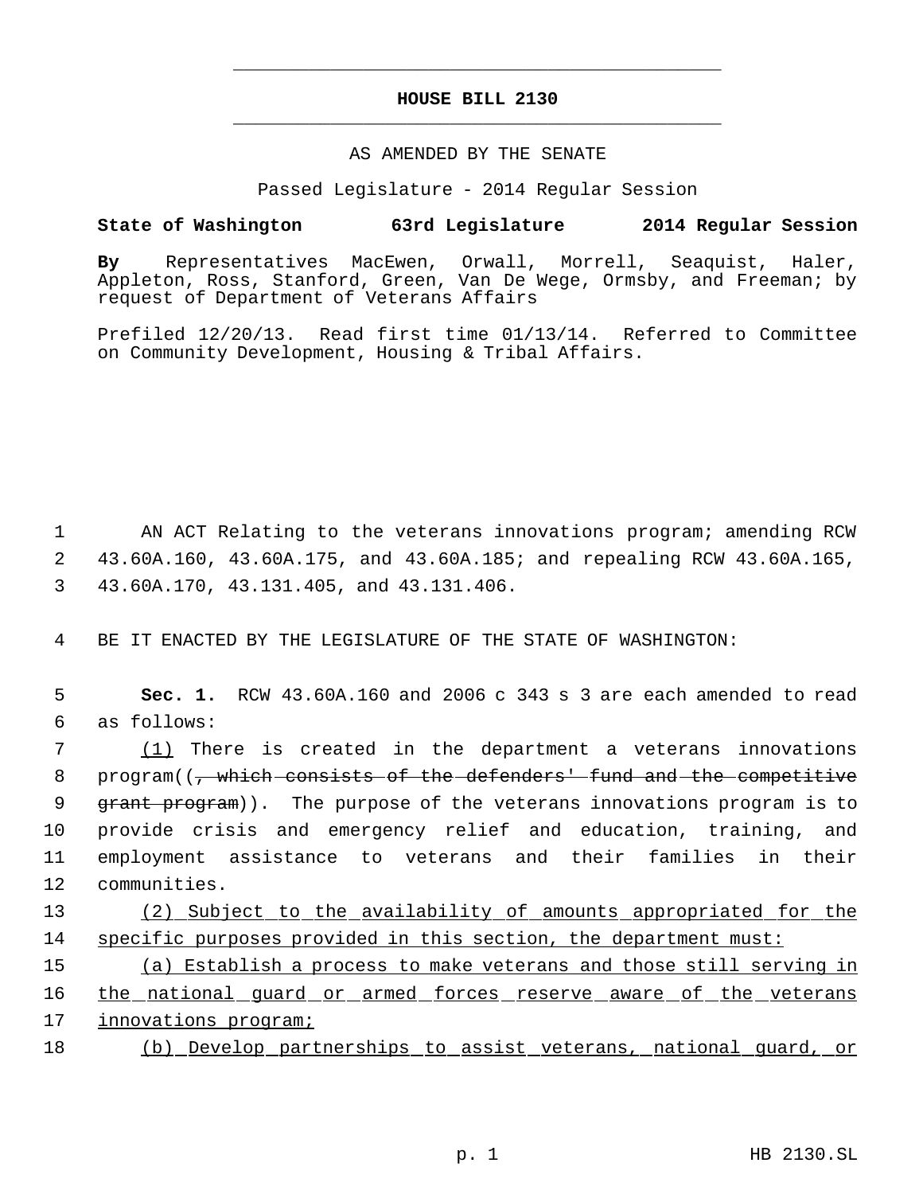# **HOUSE BILL 2130** \_\_\_\_\_\_\_\_\_\_\_\_\_\_\_\_\_\_\_\_\_\_\_\_\_\_\_\_\_\_\_\_\_\_\_\_\_\_\_\_\_\_\_\_\_

\_\_\_\_\_\_\_\_\_\_\_\_\_\_\_\_\_\_\_\_\_\_\_\_\_\_\_\_\_\_\_\_\_\_\_\_\_\_\_\_\_\_\_\_\_

### AS AMENDED BY THE SENATE

Passed Legislature - 2014 Regular Session

# **State of Washington 63rd Legislature 2014 Regular Session**

**By** Representatives MacEwen, Orwall, Morrell, Seaquist, Haler, Appleton, Ross, Stanford, Green, Van De Wege, Ormsby, and Freeman; by request of Department of Veterans Affairs

Prefiled 12/20/13. Read first time 01/13/14. Referred to Committee on Community Development, Housing & Tribal Affairs.

 1 AN ACT Relating to the veterans innovations program; amending RCW 2 43.60A.160, 43.60A.175, and 43.60A.185; and repealing RCW 43.60A.165, 3 43.60A.170, 43.131.405, and 43.131.406.

4 BE IT ENACTED BY THE LEGISLATURE OF THE STATE OF WASHINGTON:

 5 **Sec. 1.** RCW 43.60A.160 and 2006 c 343 s 3 are each amended to read 6 as follows:

 (1) There is created in the department a veterans innovations 8 program((<del>, which consists of the defenders' fund and the competitive</del> 9 grant program)). The purpose of the veterans innovations program is to provide crisis and emergency relief and education, training, and employment assistance to veterans and their families in their communities.

13 (2) Subject to the availability of amounts appropriated for the 14 specific purposes provided in this section, the department must:

15 (a) Establish a process to make veterans and those still serving in 16 the national guard or armed forces reserve aware of the veterans 17 innovations program;

18 (b) Develop partnerships to assist veterans, national guard, or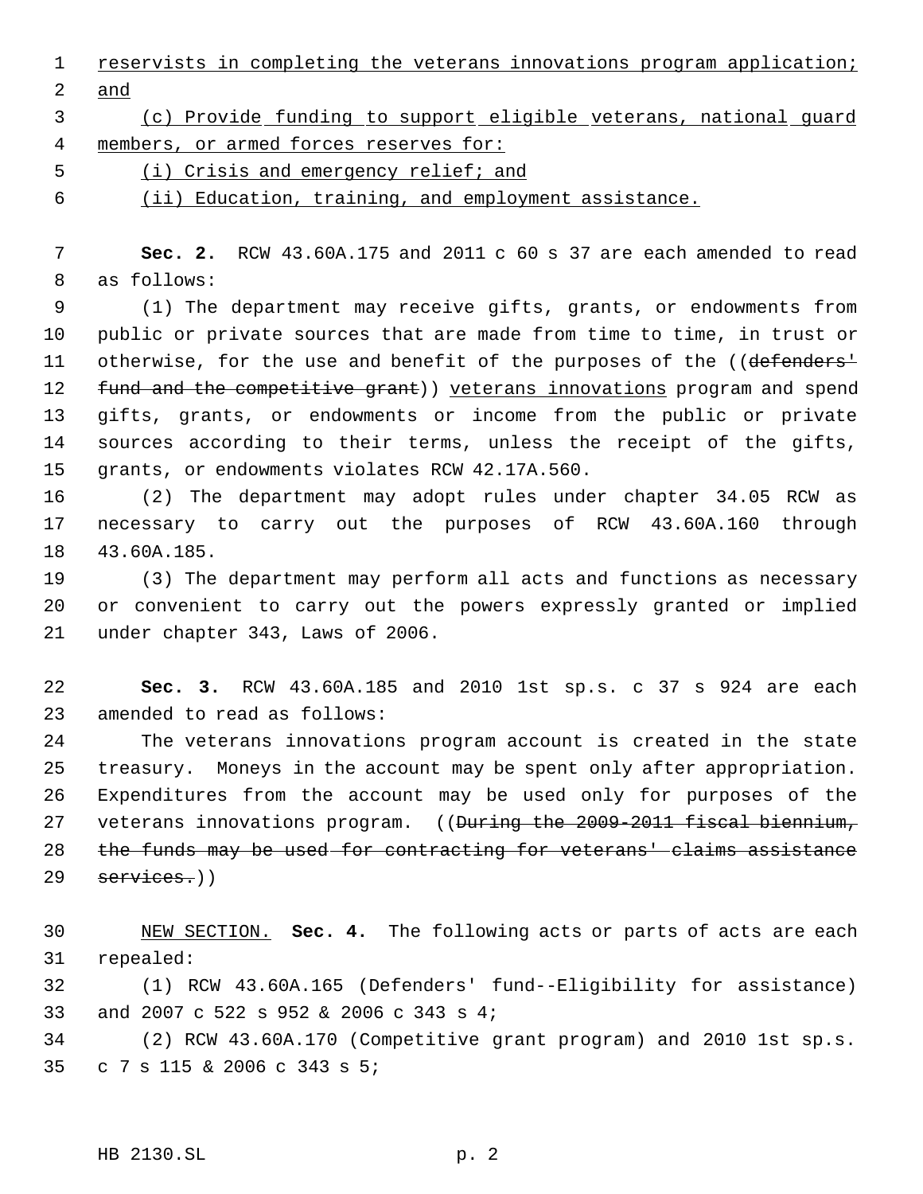reservists in completing the veterans innovations program application; and

# (c) Provide funding to support eligible veterans, national guard members, or armed forces reserves for:

(i) Crisis and emergency relief; and

(ii) Education, training, and employment assistance.

 **Sec. 2.** RCW 43.60A.175 and 2011 c 60 s 37 are each amended to read as follows:

 (1) The department may receive gifts, grants, or endowments from public or private sources that are made from time to time, in trust or 11 otherwise, for the use and benefit of the purposes of the ((defenders<sup>1</sup>) 12 fund and the competitive grant)) yeterans innovations program and spend gifts, grants, or endowments or income from the public or private sources according to their terms, unless the receipt of the gifts, grants, or endowments violates RCW 42.17A.560.

 (2) The department may adopt rules under chapter 34.05 RCW as necessary to carry out the purposes of RCW 43.60A.160 through 43.60A.185.

 (3) The department may perform all acts and functions as necessary or convenient to carry out the powers expressly granted or implied under chapter 343, Laws of 2006.

 **Sec. 3.** RCW 43.60A.185 and 2010 1st sp.s. c 37 s 924 are each amended to read as follows:

 The veterans innovations program account is created in the state treasury. Moneys in the account may be spent only after appropriation. Expenditures from the account may be used only for purposes of the 27 veterans innovations program. ((During the 2009-2011 fiscal biennium, the funds may be used for contracting for veterans' claims assistance services.)

 NEW SECTION. **Sec. 4.** The following acts or parts of acts are each repealed:

 (1) RCW 43.60A.165 (Defenders' fund--Eligibility for assistance) and 2007 c 522 s 952 & 2006 c 343 s 4;

 (2) RCW 43.60A.170 (Competitive grant program) and 2010 1st sp.s. c 7 s 115 & 2006 c 343 s 5;